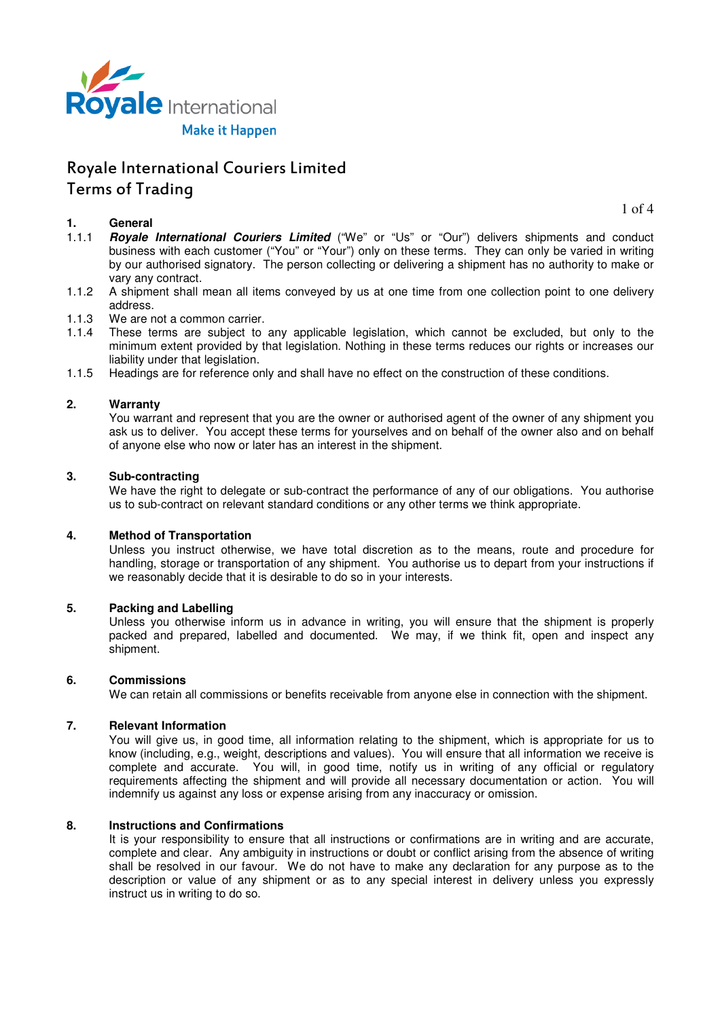

## **1. General**

 $1 \nof 4$ 

- 1.1.1 **Royale International Couriers Limited** ("We" or "Us" or "Our") delivers shipments and conduct business with each customer ("You" or "Your") only on these terms. They can only be varied in writing by our authorised signatory. The person collecting or delivering a shipment has no authority to make or vary any contract.
- 1.1.2 A shipment shall mean all items conveyed by us at one time from one collection point to one delivery address.
- 1.1.3 We are not a common carrier.
- 1.1.4 These terms are subject to any applicable legislation, which cannot be excluded, but only to the minimum extent provided by that legislation. Nothing in these terms reduces our rights or increases our liability under that legislation.
- 1.1.5 Headings are for reference only and shall have no effect on the construction of these conditions.

## **2. Warranty**

You warrant and represent that you are the owner or authorised agent of the owner of any shipment you ask us to deliver. You accept these terms for yourselves and on behalf of the owner also and on behalf of anyone else who now or later has an interest in the shipment.

#### **3. Sub-contracting**

We have the right to delegate or sub-contract the performance of any of our obligations. You authorise us to sub-contract on relevant standard conditions or any other terms we think appropriate.

## **4. Method of Transportation**

Unless you instruct otherwise, we have total discretion as to the means, route and procedure for handling, storage or transportation of any shipment. You authorise us to depart from your instructions if we reasonably decide that it is desirable to do so in your interests.

## **5. Packing and Labelling**

Unless you otherwise inform us in advance in writing, you will ensure that the shipment is properly packed and prepared, labelled and documented. We may, if we think fit, open and inspect any shipment.

#### **6. Commissions**

We can retain all commissions or benefits receivable from anyone else in connection with the shipment.

#### **7. Relevant Information**

You will give us, in good time, all information relating to the shipment, which is appropriate for us to know (including, e.g., weight, descriptions and values). You will ensure that all information we receive is complete and accurate. You will, in good time, notify us in writing of any official or regulatory requirements affecting the shipment and will provide all necessary documentation or action. You will indemnify us against any loss or expense arising from any inaccuracy or omission.

#### **8. Instructions and Confirmations**

It is your responsibility to ensure that all instructions or confirmations are in writing and are accurate, complete and clear. Any ambiguity in instructions or doubt or conflict arising from the absence of writing shall be resolved in our favour. We do not have to make any declaration for any purpose as to the description or value of any shipment or as to any special interest in delivery unless you expressly instruct us in writing to do so.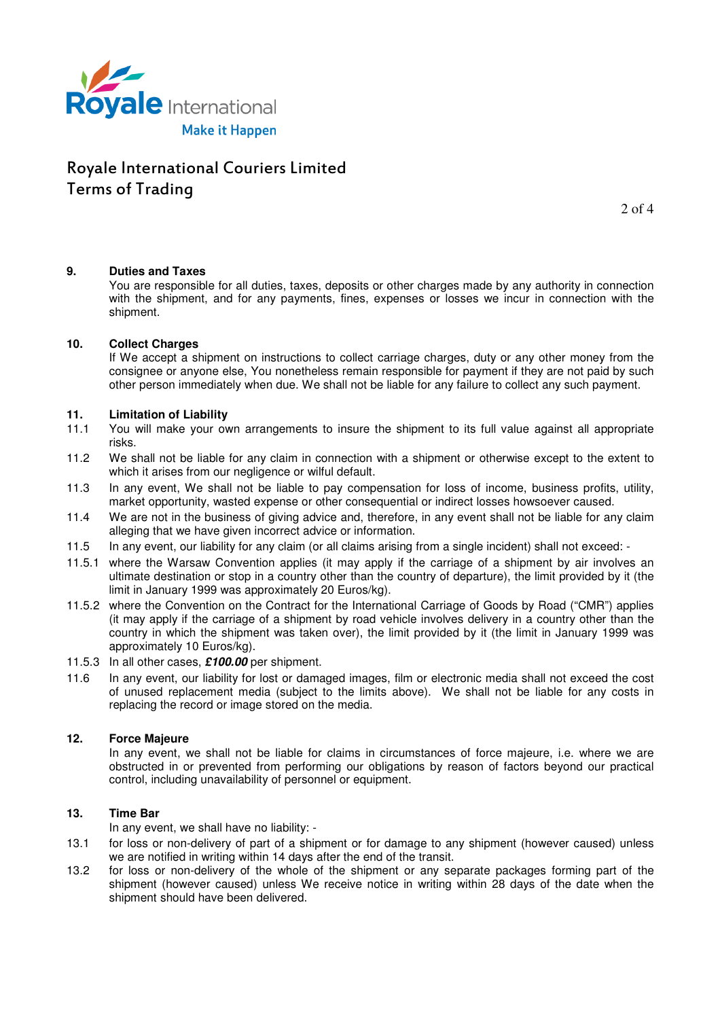

2 of 4

## **9. Duties and Taxes**

You are responsible for all duties, taxes, deposits or other charges made by any authority in connection with the shipment, and for any payments, fines, expenses or losses we incur in connection with the shipment.

## **10. Collect Charges**

If We accept a shipment on instructions to collect carriage charges, duty or any other money from the consignee or anyone else, You nonetheless remain responsible for payment if they are not paid by such other person immediately when due. We shall not be liable for any failure to collect any such payment.

## **11. Limitation of Liability**

- 11.1 You will make your own arrangements to insure the shipment to its full value against all appropriate risks.
- 11.2 We shall not be liable for any claim in connection with a shipment or otherwise except to the extent to which it arises from our negligence or wilful default.
- 11.3 In any event, We shall not be liable to pay compensation for loss of income, business profits, utility, market opportunity, wasted expense or other consequential or indirect losses howsoever caused.
- 11.4 We are not in the business of giving advice and, therefore, in any event shall not be liable for any claim alleging that we have given incorrect advice or information.
- 11.5 In any event, our liability for any claim (or all claims arising from a single incident) shall not exceed: -
- 11.5.1 where the Warsaw Convention applies (it may apply if the carriage of a shipment by air involves an ultimate destination or stop in a country other than the country of departure), the limit provided by it (the limit in January 1999 was approximately 20 Euros/kg).
- 11.5.2 where the Convention on the Contract for the International Carriage of Goods by Road ("CMR") applies (it may apply if the carriage of a shipment by road vehicle involves delivery in a country other than the country in which the shipment was taken over), the limit provided by it (the limit in January 1999 was approximately 10 Euros/kg).
- 11.5.3 In all other cases, **£100.00** per shipment.
- 11.6 In any event, our liability for lost or damaged images, film or electronic media shall not exceed the cost of unused replacement media (subject to the limits above). We shall not be liable for any costs in replacing the record or image stored on the media.

## **12. Force Majeure**

In any event, we shall not be liable for claims in circumstances of force majeure, i.e. where we are obstructed in or prevented from performing our obligations by reason of factors beyond our practical control, including unavailability of personnel or equipment.

## **13. Time Bar**

In any event, we shall have no liability: -

- 13.1 for loss or non-delivery of part of a shipment or for damage to any shipment (however caused) unless we are notified in writing within 14 days after the end of the transit.
- 13.2 for loss or non-delivery of the whole of the shipment or any separate packages forming part of the shipment (however caused) unless We receive notice in writing within 28 days of the date when the shipment should have been delivered.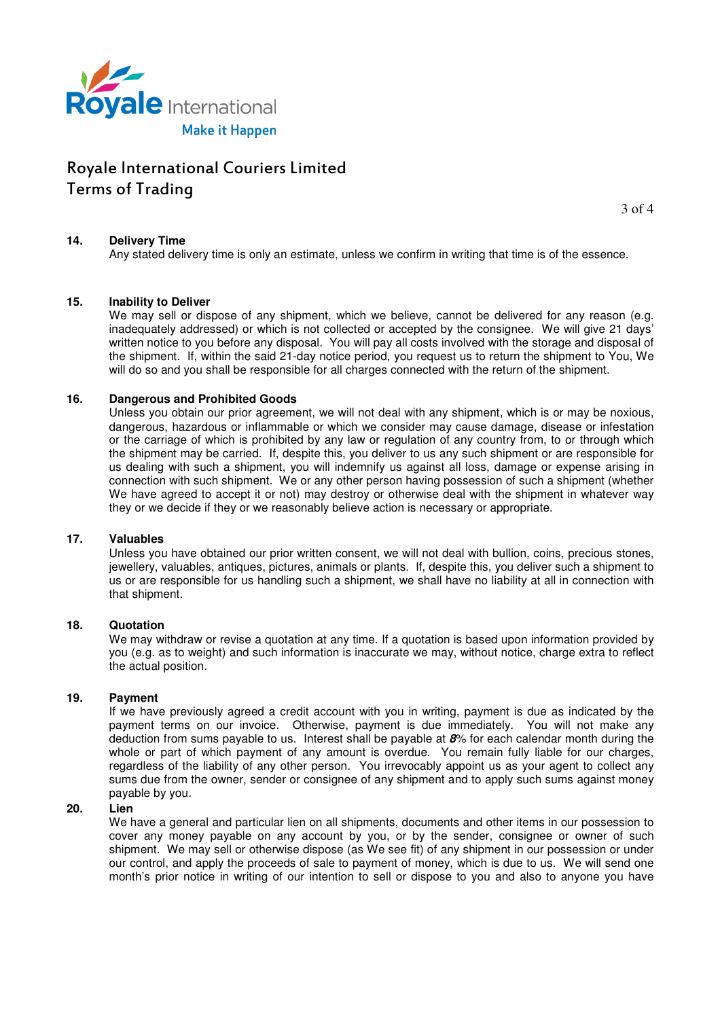

3 of 4

## **14. Delivery Time**

Any stated delivery time is only an estimate, unless we confirm in writing that time is of the essence.

## **15. Inability to Deliver**

We may sell or dispose of any shipment, which we believe, cannot be delivered for any reason (e.g. inadequately addressed) or which is not collected or accepted by the consignee. We will give 21 days' written notice to you before any disposal. You will pay all costs involved with the storage and disposal of the shipment. If, within the said 21-day notice period, you request us to return the shipment to You, We will do so and you shall be responsible for all charges connected with the return of the shipment.

## **16. Dangerous and Prohibited Goods**

Unless you obtain our prior agreement, we will not deal with any shipment, which is or may be noxious, dangerous, hazardous or inflammable or which we consider may cause damage, disease or infestation or the carriage of which is prohibited by any law or regulation of any country from, to or through which the shipment may be carried. If, despite this, you deliver to us any such shipment or are responsible for us dealing with such a shipment, you will indemnify us against all loss, damage or expense arising in connection with such shipment. We or any other person having possession of such a shipment (whether We have agreed to accept it or not) may destroy or otherwise deal with the shipment in whatever way they or we decide if they or we reasonably believe action is necessary or appropriate.

## **17. Valuables**

Unless you have obtained our prior written consent, we will not deal with bullion, coins, precious stones, jewellery, valuables, antiques, pictures, animals or plants. If, despite this, you deliver such a shipment to us or are responsible for us handling such a shipment, we shall have no liability at all in connection with that shipment.

## **18. Quotation**

We may withdraw or revise a quotation at any time. If a quotation is based upon information provided by you (e.g. as to weight) and such information is inaccurate we may, without notice, charge extra to reflect the actual position.

## **19. Payment**

If we have previously agreed a credit account with you in writing, payment is due as indicated by the payment terms on our invoice. Otherwise, payment is due immediately. You will not make any deduction from sums payable to us. Interest shall be payable at **8**% for each calendar month during the whole or part of which payment of any amount is overdue. You remain fully liable for our charges, regardless of the liability of any other person. You irrevocably appoint us as your agent to collect any sums due from the owner, sender or consignee of any shipment and to apply such sums against money payable by you.

#### **20. Lien**

We have a general and particular lien on all shipments, documents and other items in our possession to cover any money payable on any account by you, or by the sender, consignee or owner of such shipment. We may sell or otherwise dispose (as We see fit) of any shipment in our possession or under our control, and apply the proceeds of sale to payment of money, which is due to us. We will send one month's prior notice in writing of our intention to sell or dispose to you and also to anyone you have